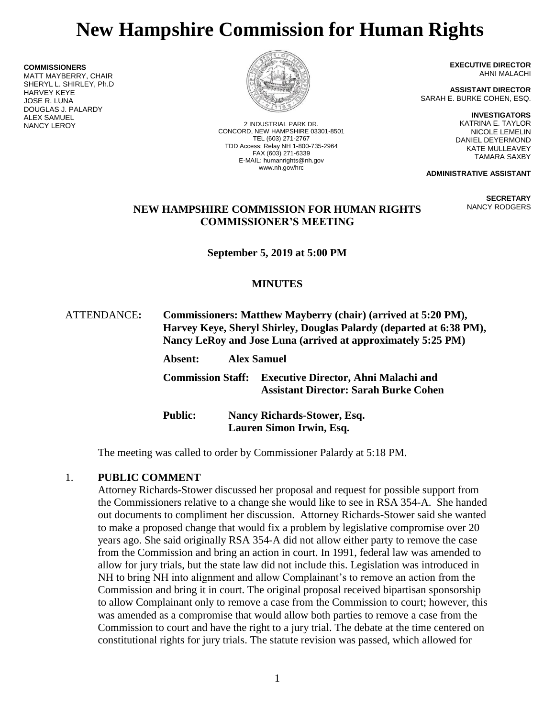# **New Hampshire Commission for Human Rights**

**COMMISSIONERS** MATT MAYBERRY, CHAIR SHERYL L. SHIRLEY, Ph.D HARVEY KEYE JOSE R. LUNA DOUGLAS J. PALARDY

**ALEX SAMUEL<br>NANCY LEROY** 



2 INDUSTRIAL PARK DR. CONCORD, NEW HAMPSHIRE 03301-8501 TEL (603) 271-2767 TDD Access: Relay NH 1-800-735-2964 FAX (603) 271-6339 E-MAIL: humanrights@nh.gov www.nh.gov/hrc

**EXECUTIVE DIRECTOR** AHNI MALACHI

**ASSISTANT DIRECTOR** SARAH E. BURKE COHEN, ESQ.

> **INVESTIGATORS** KATRINA E. TAYLOR NICOLE LEMELIN DANIEL DEYERMOND KATE MULLEAVEY TAMARA SAXBY

**ADMINISTRATIVE ASSISTANT**

**SECRETARY** NANCY RODGERS

### **NEW HAMPSHIRE COMMISSION FOR HUMAN RIGHTS COMMISSIONER'S MEETING**

**September 5, 2019 at 5:00 PM**

# **MINUTES**

| ATTENDANCE: | Commissioners: Matthew Mayberry (chair) (arrived at 5:20 PM),<br>Harvey Keye, Sheryl Shirley, Douglas Palardy (departed at 6:38 PM),<br>Nancy LeRoy and Jose Luna (arrived at approximately 5:25 PM)<br><b>Alex Samuel</b><br>Absent: |
|-------------|---------------------------------------------------------------------------------------------------------------------------------------------------------------------------------------------------------------------------------------|
|             | <b>Executive Director, Ahni Malachi and</b><br><b>Commission Staff:</b><br><b>Assistant Director: Sarah Burke Cohen</b>                                                                                                               |
|             | <b>Public:</b><br><b>Nancy Richards-Stower, Esq.</b><br>Lauren Simon Irwin, Esq.                                                                                                                                                      |

The meeting was called to order by Commissioner Palardy at 5:18 PM.

#### 1. **PUBLIC COMMENT**

Attorney Richards-Stower discussed her proposal and request for possible support from the Commissioners relative to a change she would like to see in RSA 354-A. She handed out documents to compliment her discussion. Attorney Richards-Stower said she wanted to make a proposed change that would fix a problem by legislative compromise over 20 years ago. She said originally RSA 354-A did not allow either party to remove the case from the Commission and bring an action in court. In 1991, federal law was amended to allow for jury trials, but the state law did not include this. Legislation was introduced in NH to bring NH into alignment and allow Complainant's to remove an action from the Commission and bring it in court. The original proposal received bipartisan sponsorship to allow Complainant only to remove a case from the Commission to court; however, this was amended as a compromise that would allow both parties to remove a case from the Commission to court and have the right to a jury trial. The debate at the time centered on constitutional rights for jury trials. The statute revision was passed, which allowed for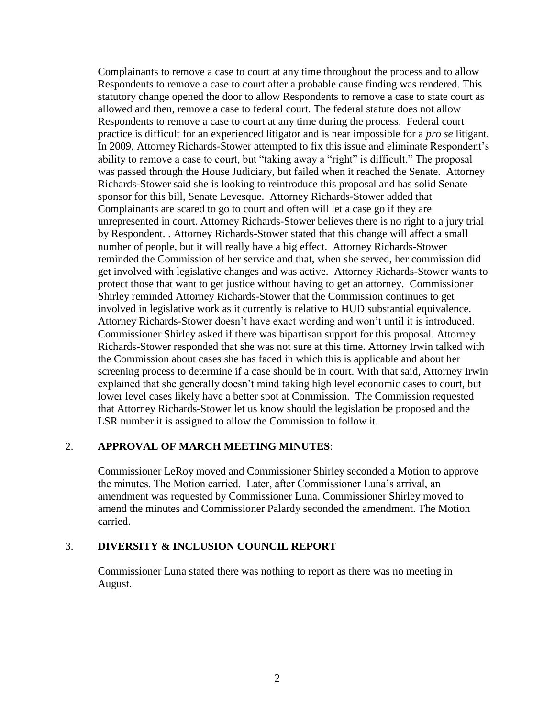Complainants to remove a case to court at any time throughout the process and to allow Respondents to remove a case to court after a probable cause finding was rendered. This statutory change opened the door to allow Respondents to remove a case to state court as allowed and then, remove a case to federal court. The federal statute does not allow Respondents to remove a case to court at any time during the process. Federal court practice is difficult for an experienced litigator and is near impossible for a *pro se* litigant. In 2009, Attorney Richards-Stower attempted to fix this issue and eliminate Respondent's ability to remove a case to court, but "taking away a "right" is difficult." The proposal was passed through the House Judiciary, but failed when it reached the Senate. Attorney Richards-Stower said she is looking to reintroduce this proposal and has solid Senate sponsor for this bill, Senate Levesque. Attorney Richards-Stower added that Complainants are scared to go to court and often will let a case go if they are unrepresented in court. Attorney Richards-Stower believes there is no right to a jury trial by Respondent. . Attorney Richards-Stower stated that this change will affect a small number of people, but it will really have a big effect. Attorney Richards-Stower reminded the Commission of her service and that, when she served, her commission did get involved with legislative changes and was active. Attorney Richards-Stower wants to protect those that want to get justice without having to get an attorney. Commissioner Shirley reminded Attorney Richards-Stower that the Commission continues to get involved in legislative work as it currently is relative to HUD substantial equivalence. Attorney Richards-Stower doesn't have exact wording and won't until it is introduced. Commissioner Shirley asked if there was bipartisan support for this proposal. Attorney Richards-Stower responded that she was not sure at this time. Attorney Irwin talked with the Commission about cases she has faced in which this is applicable and about her screening process to determine if a case should be in court. With that said, Attorney Irwin explained that she generally doesn't mind taking high level economic cases to court, but lower level cases likely have a better spot at Commission. The Commission requested that Attorney Richards-Stower let us know should the legislation be proposed and the LSR number it is assigned to allow the Commission to follow it.

#### 2. **APPROVAL OF MARCH MEETING MINUTES**:

Commissioner LeRoy moved and Commissioner Shirley seconded a Motion to approve the minutes. The Motion carried. Later, after Commissioner Luna's arrival, an amendment was requested by Commissioner Luna. Commissioner Shirley moved to amend the minutes and Commissioner Palardy seconded the amendment. The Motion carried.

#### 3. **DIVERSITY & INCLUSION COUNCIL REPORT**

Commissioner Luna stated there was nothing to report as there was no meeting in August.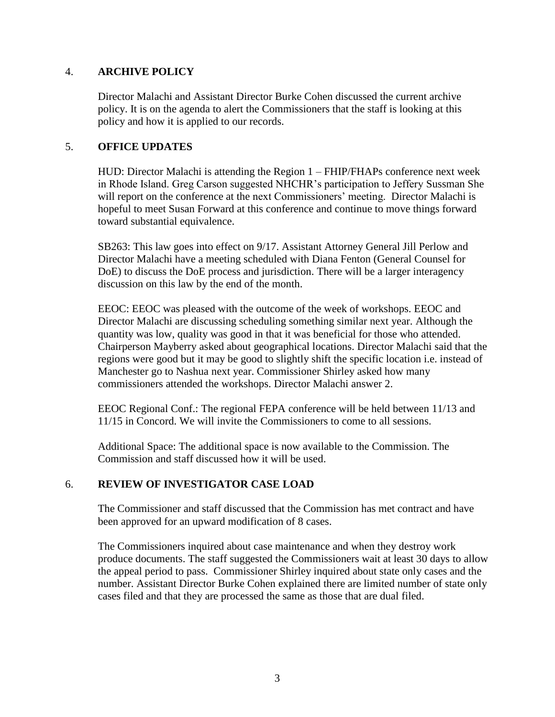#### 4. **ARCHIVE POLICY**

Director Malachi and Assistant Director Burke Cohen discussed the current archive policy. It is on the agenda to alert the Commissioners that the staff is looking at this policy and how it is applied to our records.

#### 5. **OFFICE UPDATES**

HUD: Director Malachi is attending the Region 1 – FHIP/FHAPs conference next week in Rhode Island. Greg Carson suggested NHCHR's participation to Jeffery Sussman She will report on the conference at the next Commissioners' meeting. Director Malachi is hopeful to meet Susan Forward at this conference and continue to move things forward toward substantial equivalence.

SB263: This law goes into effect on 9/17. Assistant Attorney General Jill Perlow and Director Malachi have a meeting scheduled with Diana Fenton (General Counsel for DoE) to discuss the DoE process and jurisdiction. There will be a larger interagency discussion on this law by the end of the month.

EEOC: EEOC was pleased with the outcome of the week of workshops. EEOC and Director Malachi are discussing scheduling something similar next year. Although the quantity was low, quality was good in that it was beneficial for those who attended. Chairperson Mayberry asked about geographical locations. Director Malachi said that the regions were good but it may be good to slightly shift the specific location i.e. instead of Manchester go to Nashua next year. Commissioner Shirley asked how many commissioners attended the workshops. Director Malachi answer 2.

EEOC Regional Conf.: The regional FEPA conference will be held between 11/13 and 11/15 in Concord. We will invite the Commissioners to come to all sessions.

Additional Space: The additional space is now available to the Commission. The Commission and staff discussed how it will be used.

#### 6. **REVIEW OF INVESTIGATOR CASE LOAD**

The Commissioner and staff discussed that the Commission has met contract and have been approved for an upward modification of 8 cases.

The Commissioners inquired about case maintenance and when they destroy work produce documents. The staff suggested the Commissioners wait at least 30 days to allow the appeal period to pass. Commissioner Shirley inquired about state only cases and the number. Assistant Director Burke Cohen explained there are limited number of state only cases filed and that they are processed the same as those that are dual filed.